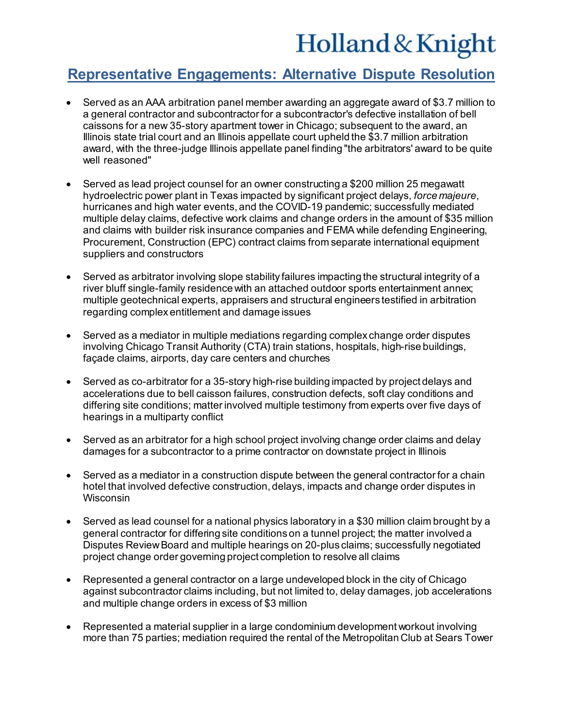## Holland & Knight

## **Representative Engagements: Alternative Dispute Resolution**

- Served as an AAA arbitration panel member awarding an aggregate award of \$3.7 million to a general contractor and subcontractor for a subcontractor's defective installation of bell caissons for a new 35-story apartment tower in Chicago; subsequent to the award, an Illinois state trial court and an Illinois appellate court upheld the \$3.7 million arbitration award, with the three-judge Illinois appellate panel finding "the arbitrators' award to be quite well reasoned"
- Served as lead project counsel for an owner constructing a \$200 million 25 megawatt hydroelectric power plant in Texas impacted by significant project delays, *force majeure*, hurricanes and high water events, and the COVID-19 pandemic; successfully mediated multiple delay claims, defective work claims and change orders in the amount of \$35 million and claims with builder risk insurance companies and FEMA while defending Engineering, Procurement, Construction (EPC) contract claims from separate international equipment suppliers and constructors
- Served as arbitrator involving slope stability failures impacting the structural integrity of a river bluff single-family residence with an attached outdoor sports entertainment annex; multiple geotechnical experts, appraisers and structural engineers testified in arbitration regarding complex entitlement and damage issues
- Served as a mediator in multiple mediations regarding complex change order disputes involving Chicago Transit Authority (CTA) train stations, hospitals, high-rise buildings, façade claims, airports, day care centers and churches
- Served as co-arbitrator for a 35-story high-rise building impacted by project delays and accelerations due to bell caisson failures, construction defects, soft clay conditions and differing site conditions; matter involved multiple testimony from experts over five days of hearings in a multiparty conflict
- Served as an arbitrator for a high school project involving change order claims and delay damages for a subcontractor to a prime contractor on downstate project in Illinois
- Served as a mediator in a construction dispute between the general contractor for a chain hotel that involved defective construction, delays, impacts and change order disputes in **Wisconsin**
- Served as lead counsel for a national physics laboratory in a \$30 million claim brought by a general contractor for differing site conditions on a tunnel project; the matter involved a Disputes Review Board and multiple hearings on 20-plus claims; successfully negotiated project change order governing project completion to resolve all claims
- Represented a general contractor on a large undeveloped block in the city of Chicago against subcontractor claims including, but not limited to, delay damages, job accelerations and multiple change orders in excess of \$3 million
- Represented a material supplier in a large condominium development workout involving more than 75 parties; mediation required the rental of the Metropolitan Club at Sears Tower